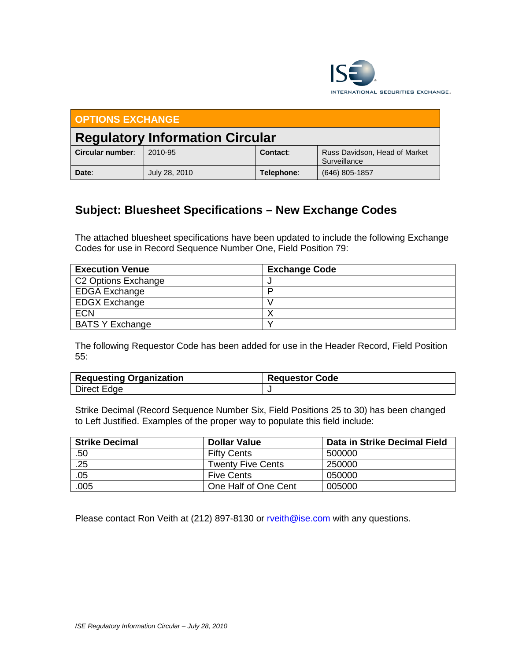

| <b>OPTIONS EXCHANGE</b>                |               |            |                                               |  |  |  |  |
|----------------------------------------|---------------|------------|-----------------------------------------------|--|--|--|--|
| <b>Regulatory Information Circular</b> |               |            |                                               |  |  |  |  |
| Circular number:                       | 2010-95       | Contact:   | Russ Davidson, Head of Market<br>Surveillance |  |  |  |  |
| Date:                                  | July 28, 2010 | Telephone: | $(646)$ 805-1857                              |  |  |  |  |

# **Subject: Bluesheet Specifications – New Exchange Codes**

The attached bluesheet specifications have been updated to include the following Exchange Codes for use in Record Sequence Number One, Field Position 79:

| <b>Execution Venue</b> | <b>Exchange Code</b> |
|------------------------|----------------------|
| C2 Options Exchange    |                      |
| <b>EDGA Exchange</b>   |                      |
| <b>EDGX Exchange</b>   |                      |
| <b>ECN</b>             |                      |
| <b>BATS Y Exchange</b> |                      |

The following Requestor Code has been added for use in the Header Record, Field Position 55:

| <b>Requesting Organization</b> | <b>Requestor Code</b> |  |  |
|--------------------------------|-----------------------|--|--|
| Direct Edge                    |                       |  |  |

Strike Decimal (Record Sequence Number Six, Field Positions 25 to 30) has been changed to Left Justified. Examples of the proper way to populate this field include:

| <b>Strike Decimal</b> | <b>Dollar Value</b>  | Data in Strike Decimal Field |
|-----------------------|----------------------|------------------------------|
| .50                   | <b>Fifty Cents</b>   | 500000                       |
| .25                   | Twenty Five Cents    | 250000                       |
| .05                   | <b>Five Cents</b>    | 050000                       |
| .005                  | One Half of One Cent | 005000                       |

Please contact Ron Veith at (212) 897-8130 or [rveith@ise.com](mailto:rveith@ise.com) with any questions.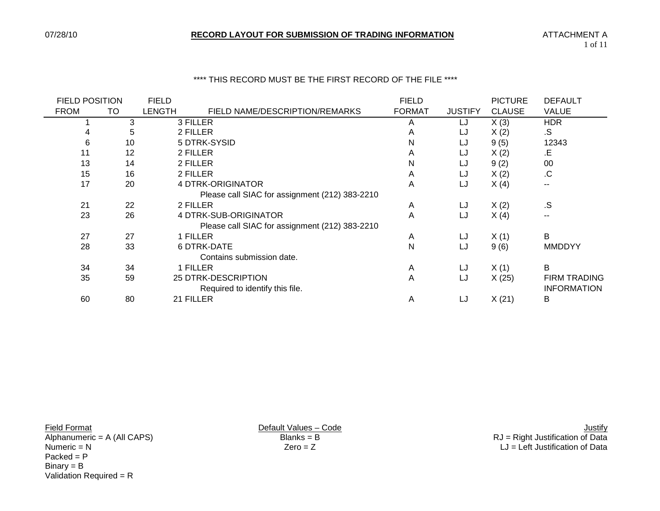## \*\*\*\* THIS RECORD MUST BE THE FIRST RECORD OF THE FILE \*\*\*\*

| <b>FIELD POSITION</b> |    | <b>FIELD</b>  |                                                | <b>FIELD</b>  |                | <b>PICTURE</b> | <b>DEFAULT</b>      |
|-----------------------|----|---------------|------------------------------------------------|---------------|----------------|----------------|---------------------|
| <b>FROM</b>           | TO | <b>LENGTH</b> | FIELD NAME/DESCRIPTION/REMARKS                 | <b>FORMAT</b> | <b>JUSTIFY</b> | <b>CLAUSE</b>  | <b>VALUE</b>        |
|                       | 3  |               | 3 FILLER                                       | A             | LJ             | X(3)           | <b>HDR</b>          |
|                       | 5  |               | 2 FILLER                                       | A             | LJ             | X(2)           | .S                  |
| 6                     | 10 |               | 5 DTRK-SYSID                                   | N             | LJ             | 9(5)           | 12343               |
| 11                    | 12 |               | 2 FILLER                                       | A             | LJ             | X(2)           | .E                  |
| 13                    | 14 |               | 2 FILLER                                       | N             | LJ             | 9(2)           | 00                  |
| 15                    | 16 |               | 2 FILLER                                       | A             | LJ             | X(2)           | .C                  |
| 17                    | 20 |               | 4 DTRK-ORIGINATOR                              | A             | LJ             | X(4)           | --                  |
|                       |    |               | Please call SIAC for assignment (212) 383-2210 |               |                |                |                     |
| 21                    | 22 |               | 2 FILLER                                       | A             | LJ             | X(2)           | .S                  |
| 23                    | 26 |               | 4 DTRK-SUB-ORIGINATOR                          | A             | LJ             | X(4)           | $\sim$ $\sim$       |
|                       |    |               | Please call SIAC for assignment (212) 383-2210 |               |                |                |                     |
| 27                    | 27 |               | 1 FILLER                                       | A             | LJ             | X(1)           | B                   |
| 28                    | 33 |               | 6 DTRK-DATE                                    | N             | LJ             | 9(6)           | <b>MMDDYY</b>       |
|                       |    |               | Contains submission date.                      |               |                |                |                     |
| 34                    | 34 |               | 1 FILLER                                       | A             | LJ             | X(1)           | B                   |
| 35                    | 59 |               | 25 DTRK-DESCRIPTION                            | A             | LJ             | X(25)          | <b>FIRM TRADING</b> |
|                       |    |               | Required to identify this file.                |               |                |                | <b>INFORMATION</b>  |
| 60                    | 80 |               | 21 FILLER                                      | A             | LJ             | X(21)          | Β                   |
|                       |    |               |                                                |               |                |                |                     |

 $Packet = P$ Binary = B Validation Required =  $R$ 

Eield Format Justify<br>Alphanumeric = A (All CAPS) Default Values – Code<br>
Blanks = B<br>
Blanks = B<br>
Default Values – Code Code Code Rusting and Default Values – Code Rustification of Data Alphanumeric = A (All CAPS) Blanks = B<br>
RJ = Right Justification of Data<br>
Zero = Z<br>
RJ = Left Justification of Data  $LJ = \overrightarrow{Left}$  Justification of Data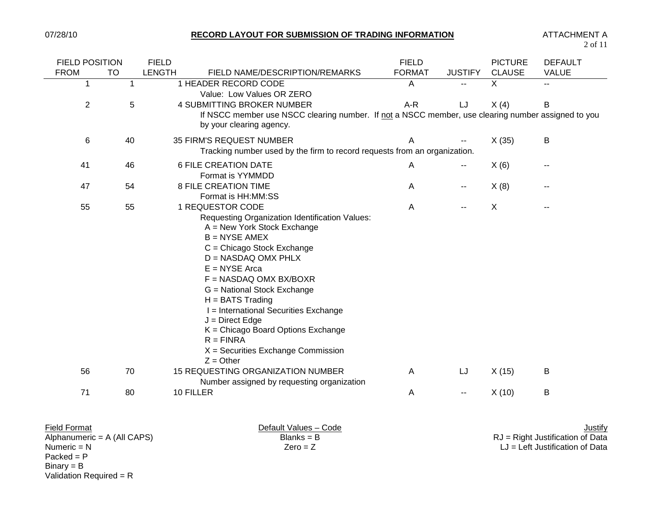2 of 11

| <b>FIELD POSITION</b>    | <b>FIELD</b>                                                                                                                                                                                                                                                                                                                                                                                                                                              | <b>FIELD</b>  |                          | <b>PICTURE</b> | <b>DEFAULT</b> |
|--------------------------|-----------------------------------------------------------------------------------------------------------------------------------------------------------------------------------------------------------------------------------------------------------------------------------------------------------------------------------------------------------------------------------------------------------------------------------------------------------|---------------|--------------------------|----------------|----------------|
| <b>TO</b><br><b>FROM</b> | <b>LENGTH</b><br>FIELD NAME/DESCRIPTION/REMARKS                                                                                                                                                                                                                                                                                                                                                                                                           | <b>FORMAT</b> | <b>JUSTIFY</b>           | <b>CLAUSE</b>  | <b>VALUE</b>   |
| $\mathbf{1}$<br>1        | 1 HEADER RECORD CODE<br>Value: Low Values OR ZERO                                                                                                                                                                                                                                                                                                                                                                                                         | A             | $\overline{\phantom{a}}$ | $\overline{X}$ | $-1$           |
| $\overline{2}$<br>5      | 4 SUBMITTING BROKER NUMBER                                                                                                                                                                                                                                                                                                                                                                                                                                | A-R           | LJ                       | X(4)           | B              |
|                          | If NSCC member use NSCC clearing number. If not a NSCC member, use clearing number assigned to you<br>by your clearing agency.                                                                                                                                                                                                                                                                                                                            |               |                          |                |                |
| 6<br>40                  | 35 FIRM'S REQUEST NUMBER<br>Tracking number used by the firm to record requests from an organization.                                                                                                                                                                                                                                                                                                                                                     | A             |                          | X(35)          | B              |
| 46<br>41                 | <b>6 FILE CREATION DATE</b><br>Format is YYMMDD                                                                                                                                                                                                                                                                                                                                                                                                           | A             | $\sim$                   | X(6)           | --             |
| 54<br>47                 | <b>8 FILE CREATION TIME</b><br>Format is HH:MM:SS                                                                                                                                                                                                                                                                                                                                                                                                         | A             | $\sim$                   | X(8)           |                |
| 55<br>55                 | 1 REQUESTOR CODE<br>Requesting Organization Identification Values:<br>A = New York Stock Exchange<br>$B = NYSE AMEX$<br>C = Chicago Stock Exchange<br>$D = NASDAQ OMX PHLX$<br>$E = NYSE$ Arca<br>$F = NASDAQ OMX BX/BOXR$<br>G = National Stock Exchange<br>$H = BATS$ Trading<br>I = International Securities Exchange<br>$J =$ Direct Edge<br>K = Chicago Board Options Exchange<br>$R = FINRA$<br>$X =$ Securities Exchange Commission<br>$Z = Other$ | A             | --                       | X              | --             |
| 70<br>56                 | <b>15 REQUESTING ORGANIZATION NUMBER</b><br>Number assigned by requesting organization                                                                                                                                                                                                                                                                                                                                                                    | A             | LJ                       | X(15)          | B              |
| 71<br>80                 | 10 FILLER                                                                                                                                                                                                                                                                                                                                                                                                                                                 | Α             | --                       | X(10)          | B              |
|                          |                                                                                                                                                                                                                                                                                                                                                                                                                                                           |               |                          |                |                |

| <b>Field Format</b>           | Default Values - Code | <u>Justify</u>                     |
|-------------------------------|-----------------------|------------------------------------|
| Alphanumeric = $A$ (All CAPS) | $Blanks = B$          | $RJ =$ Right Justification of Data |
| Numeric $= N$                 | $Zero = Z$            | $LJ = Left$ Justification of Data  |
| $Packed = P$                  |                       |                                    |
| $Binary = B$                  |                       |                                    |

Validation Required = R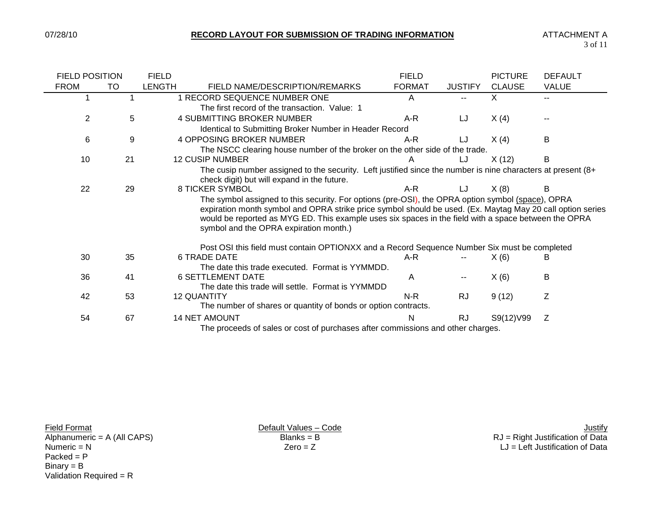| <b>FIELD POSITION</b> |    | <b>FIELD</b>  |                                                                                                                                                                                                                                                                                                                                                                   | <b>FIELD</b>  |                | <b>PICTURE</b> | <b>DEFAULT</b> |
|-----------------------|----|---------------|-------------------------------------------------------------------------------------------------------------------------------------------------------------------------------------------------------------------------------------------------------------------------------------------------------------------------------------------------------------------|---------------|----------------|----------------|----------------|
| <b>FROM</b>           | TO | <b>LENGTH</b> | FIELD NAME/DESCRIPTION/REMARKS                                                                                                                                                                                                                                                                                                                                    | <b>FORMAT</b> | <b>JUSTIFY</b> | <b>CLAUSE</b>  | <b>VALUE</b>   |
|                       |    |               | 1 RECORD SEQUENCE NUMBER ONE                                                                                                                                                                                                                                                                                                                                      | A             |                | X.             |                |
|                       |    |               | The first record of the transaction. Value: 1                                                                                                                                                                                                                                                                                                                     |               |                |                |                |
| $\overline{2}$        | 5  |               | <b>4 SUBMITTING BROKER NUMBER</b>                                                                                                                                                                                                                                                                                                                                 | A-R           | LJ             | X(4)           |                |
|                       |    |               | Identical to Submitting Broker Number in Header Record                                                                                                                                                                                                                                                                                                            |               |                |                |                |
| 6                     | 9  |               | <b>4 OPPOSING BROKER NUMBER</b>                                                                                                                                                                                                                                                                                                                                   | A-R           | LJ             | X(4)           | B              |
|                       |    |               | The NSCC clearing house number of the broker on the other side of the trade.                                                                                                                                                                                                                                                                                      |               |                |                |                |
| 10                    | 21 |               | <b>12 CUSIP NUMBER</b>                                                                                                                                                                                                                                                                                                                                            |               |                | X(12)          | B              |
|                       |    |               | The cusip number assigned to the security. Left justified since the number is nine characters at present $(8+$<br>check digit) but will expand in the future.                                                                                                                                                                                                     |               |                |                |                |
| 22                    | 29 |               | <b>8 TICKER SYMBOL</b>                                                                                                                                                                                                                                                                                                                                            | A-R           | LJ             | X(8)           |                |
|                       |    |               | The symbol assigned to this security. For options (pre-OSI), the OPRA option symbol (space), OPRA<br>expiration month symbol and OPRA strike price symbol should be used. (Ex. Maytag May 20 call option series<br>would be reported as MYG ED. This example uses six spaces in the field with a space between the OPRA<br>symbol and the OPRA expiration month.) |               |                |                |                |
|                       |    |               | Post OSI this field must contain OPTIONXX and a Record Sequence Number Six must be completed                                                                                                                                                                                                                                                                      |               |                |                |                |
| 30                    | 35 |               | <b>6 TRADE DATE</b>                                                                                                                                                                                                                                                                                                                                               | A-R           |                | X(6)           |                |
|                       |    |               | The date this trade executed. Format is YYMMDD.                                                                                                                                                                                                                                                                                                                   |               |                |                |                |
| 36                    | 41 |               | <b>6 SETTLEMENT DATE</b>                                                                                                                                                                                                                                                                                                                                          | A             |                | X(6)           | B              |
|                       |    |               | The date this trade will settle. Format is YYMMDD                                                                                                                                                                                                                                                                                                                 |               |                |                |                |
| 42                    | 53 |               | <b>12 QUANTITY</b>                                                                                                                                                                                                                                                                                                                                                | $N-R$         | <b>RJ</b>      | 9(12)          | Ζ              |
|                       |    |               | The number of shares or quantity of bonds or option contracts.                                                                                                                                                                                                                                                                                                    |               |                |                |                |
| 54                    | 67 |               | <b>14 NET AMOUNT</b>                                                                                                                                                                                                                                                                                                                                              | N             | <b>RJ</b>      | S9(12)V99      | Ζ              |
|                       |    |               | The proceeds of sales or cost of purchases after commissions and other charges.                                                                                                                                                                                                                                                                                   |               |                |                |                |

 $Packet = P$ Binary = B Validation Required = R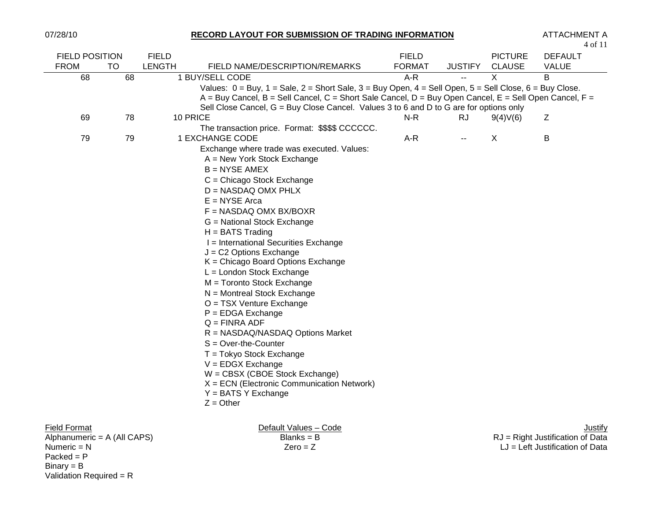$Packet = P$ Binary = B

Validation Required = R

### 07/28/10 **RECORD LAYOUT FOR SUBMISSION OF TRADING INFORMATION** ATTACHMENT A

| <b>FIELD POSITION</b>         |    | <b>FIELD</b>  |                                                                                                                                                                                                                                                                                                                                             | <b>FIELD</b>  |                | <b>PICTURE</b> | <b>DEFAULT</b>                     |
|-------------------------------|----|---------------|---------------------------------------------------------------------------------------------------------------------------------------------------------------------------------------------------------------------------------------------------------------------------------------------------------------------------------------------|---------------|----------------|----------------|------------------------------------|
| <b>FROM</b>                   | TO | <b>LENGTH</b> | FIELD NAME/DESCRIPTION/REMARKS                                                                                                                                                                                                                                                                                                              | <b>FORMAT</b> | <b>JUSTIFY</b> | <b>CLAUSE</b>  | <b>VALUE</b>                       |
| 68                            | 68 |               | 1 BUY/SELL CODE                                                                                                                                                                                                                                                                                                                             | A-R           | $-$            | X              | B                                  |
|                               |    |               | Values: $0 = Buy$ , $1 = Sale$ , $2 = Short Sale$ , $3 = Buy Open$ , $4 = Sell Open$ , $5 = Sell Close$ , $6 = Buy Close$ .<br>$A = Buy$ Cancel, $B = Sell$ Cancel, $C = Short$ Sale Cancel, $D = Buy$ Open Cancel, $E = Sell$ Open Cancel, $F =$<br>Sell Close Cancel, G = Buy Close Cancel. Values 3 to 6 and D to G are for options only |               |                |                |                                    |
| 69                            | 78 |               | 10 PRICE                                                                                                                                                                                                                                                                                                                                    | N-R           | <b>RJ</b>      | 9(4)V(6)       | Ζ                                  |
|                               |    |               | The transaction price. Format: \$\$\$\$ CCCCCC.                                                                                                                                                                                                                                                                                             |               |                |                |                                    |
| 79                            | 79 |               | 1 EXCHANGE CODE                                                                                                                                                                                                                                                                                                                             | A-R           | $\sim$         | $\sf X$        | B                                  |
|                               |    |               | Exchange where trade was executed. Values:                                                                                                                                                                                                                                                                                                  |               |                |                |                                    |
|                               |    |               | $A = New York Stock Exchange$                                                                                                                                                                                                                                                                                                               |               |                |                |                                    |
|                               |    |               | $B = NYSE AMEX$                                                                                                                                                                                                                                                                                                                             |               |                |                |                                    |
|                               |    |               | $C =$ Chicago Stock Exchange                                                                                                                                                                                                                                                                                                                |               |                |                |                                    |
|                               |    |               | D = NASDAQ OMX PHLX                                                                                                                                                                                                                                                                                                                         |               |                |                |                                    |
|                               |    |               | $E = NYSE$ Arca                                                                                                                                                                                                                                                                                                                             |               |                |                |                                    |
|                               |    |               | F = NASDAQ OMX BX/BOXR                                                                                                                                                                                                                                                                                                                      |               |                |                |                                    |
|                               |    |               | G = National Stock Exchange                                                                                                                                                                                                                                                                                                                 |               |                |                |                                    |
|                               |    |               | $H = BATS$ Trading                                                                                                                                                                                                                                                                                                                          |               |                |                |                                    |
|                               |    |               | I = International Securities Exchange                                                                                                                                                                                                                                                                                                       |               |                |                |                                    |
|                               |    |               | $J = C2$ Options Exchange                                                                                                                                                                                                                                                                                                                   |               |                |                |                                    |
|                               |    |               | $K =$ Chicago Board Options Exchange                                                                                                                                                                                                                                                                                                        |               |                |                |                                    |
|                               |    |               | L = London Stock Exchange                                                                                                                                                                                                                                                                                                                   |               |                |                |                                    |
|                               |    |               | M = Toronto Stock Exchange                                                                                                                                                                                                                                                                                                                  |               |                |                |                                    |
|                               |    |               | $N =$ Montreal Stock Exchange                                                                                                                                                                                                                                                                                                               |               |                |                |                                    |
|                               |    |               | $O = TSX$ Venture Exchange                                                                                                                                                                                                                                                                                                                  |               |                |                |                                    |
|                               |    |               | $P = EDGA$ Exchange                                                                                                                                                                                                                                                                                                                         |               |                |                |                                    |
|                               |    |               | $Q = FINRA$ ADF                                                                                                                                                                                                                                                                                                                             |               |                |                |                                    |
|                               |    |               | R = NASDAQ/NASDAQ Options Market                                                                                                                                                                                                                                                                                                            |               |                |                |                                    |
|                               |    |               | $S = Over-the-Counter$                                                                                                                                                                                                                                                                                                                      |               |                |                |                                    |
|                               |    |               | T = Tokyo Stock Exchange                                                                                                                                                                                                                                                                                                                    |               |                |                |                                    |
|                               |    |               | $V = EDGX$ Exchange                                                                                                                                                                                                                                                                                                                         |               |                |                |                                    |
|                               |    |               | $W = CBSX$ (CBOE Stock Exchange)                                                                                                                                                                                                                                                                                                            |               |                |                |                                    |
|                               |    |               | $X = ECN$ (Electronic Communication Network)                                                                                                                                                                                                                                                                                                |               |                |                |                                    |
|                               |    |               | $Y = BATS Y Exchange$                                                                                                                                                                                                                                                                                                                       |               |                |                |                                    |
|                               |    |               | $Z =$ Other                                                                                                                                                                                                                                                                                                                                 |               |                |                |                                    |
| <b>Field Format</b>           |    |               | Default Values - Code                                                                                                                                                                                                                                                                                                                       |               |                |                | <u>Justify</u>                     |
| Alphanumeric = $A$ (All CAPS) |    |               | $Blanks = B$                                                                                                                                                                                                                                                                                                                                |               |                |                | $RJ =$ Right Justification of Data |

Numeric = N Zero = Z LJ = Left Justification of Data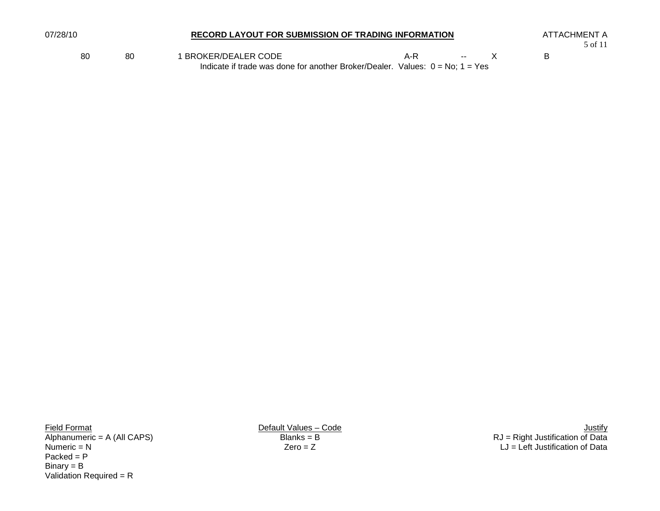| 07/28/10 |    | RECORD LAYOUT FOR SUBMISSION OF TRADING INFORMATION                                                      |     |                |  |  | ATTACHMENT A<br>5 of 11 |  |
|----------|----|----------------------------------------------------------------------------------------------------------|-----|----------------|--|--|-------------------------|--|
| 80       | 80 | BROKER/DEALER CODE<br>Indicate if trade was done for another Broker/Dealer. Values: $0 = No$ ; $1 = Yes$ | A-R | <b>Service</b> |  |  |                         |  |

Packed = P Binary = B Validation Required = R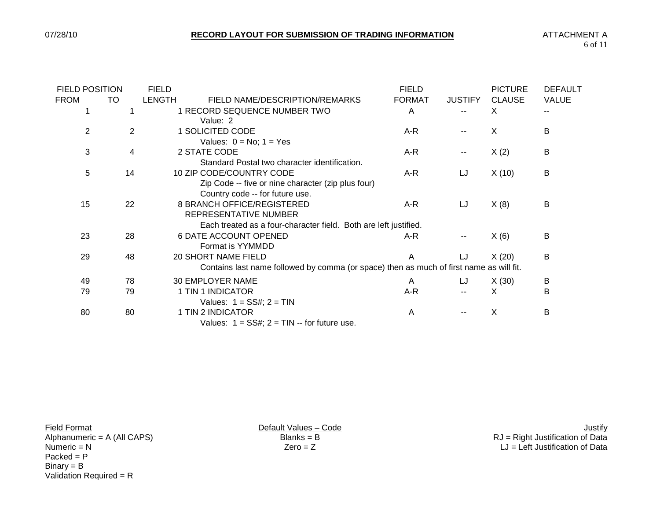$\overline{\phantom{0}}$ 

| <b>FIELD POSITION</b> |    | <b>FIELD</b>  |                                                                                         | <b>FIELD</b>  |                          | <b>PICTURE</b> | <b>DEFAULT</b> |
|-----------------------|----|---------------|-----------------------------------------------------------------------------------------|---------------|--------------------------|----------------|----------------|
| <b>FROM</b>           | TO | <b>LENGTH</b> | FIELD NAME/DESCRIPTION/REMARKS                                                          | <b>FORMAT</b> | <b>JUSTIFY</b>           | <b>CLAUSE</b>  | <b>VALUE</b>   |
|                       |    |               | 1 RECORD SEQUENCE NUMBER TWO                                                            | A             | $-$                      | X              | $\sim$ $\sim$  |
|                       |    |               | Value: 2                                                                                |               |                          |                |                |
| 2                     | 2  |               | 1 SOLICITED CODE                                                                        | A-R           | --                       | X              | B              |
|                       |    |               | Values: $0 = No$ ; $1 = Yes$                                                            |               |                          |                |                |
| 3                     | 4  |               | 2 STATE CODE                                                                            | A-R           | $- -$                    | X(2)           | B              |
|                       |    |               | Standard Postal two character identification.                                           |               |                          |                |                |
| 5                     | 14 |               | 10 ZIP CODE/COUNTRY CODE                                                                | A-R           | LJ                       | X(10)          | B              |
|                       |    |               | Zip Code -- five or nine character (zip plus four)                                      |               |                          |                |                |
|                       |    |               | Country code -- for future use.                                                         |               |                          |                |                |
| 15                    | 22 |               | 8 BRANCH OFFICE/REGISTERED                                                              | A-R           | LJ                       | X(8)           | B              |
|                       |    |               | REPRESENTATIVE NUMBER                                                                   |               |                          |                |                |
|                       |    |               | Each treated as a four-character field. Both are left justified.                        |               |                          |                |                |
| 23                    | 28 |               | <b>6 DATE ACCOUNT OPENED</b>                                                            | A-R           | $\overline{\phantom{m}}$ | X(6)           | В              |
|                       |    |               | Format is YYMMDD                                                                        |               |                          |                |                |
| 29                    | 48 |               | 20 SHORT NAME FIELD                                                                     | A             | IJ                       | X(20)          | B              |
|                       |    |               | Contains last name followed by comma (or space) then as much of first name as will fit. |               |                          |                |                |
| 49                    | 78 |               | 30 EMPLOYER NAME                                                                        | A             | LJ                       | X(30)          | B              |
| 79                    | 79 |               | 1 TIN 1 INDICATOR                                                                       | A-R           |                          | X              | B              |
|                       |    |               | Values: $1 = SS#$ ; $2 = TIN$                                                           |               |                          |                |                |
| 80                    | 80 |               | 1 TIN 2 INDICATOR                                                                       | A             |                          | X              | B              |
|                       |    |               | Values: $1 = SS#$ ; $2 = TIN -$ for future use.                                         |               |                          |                |                |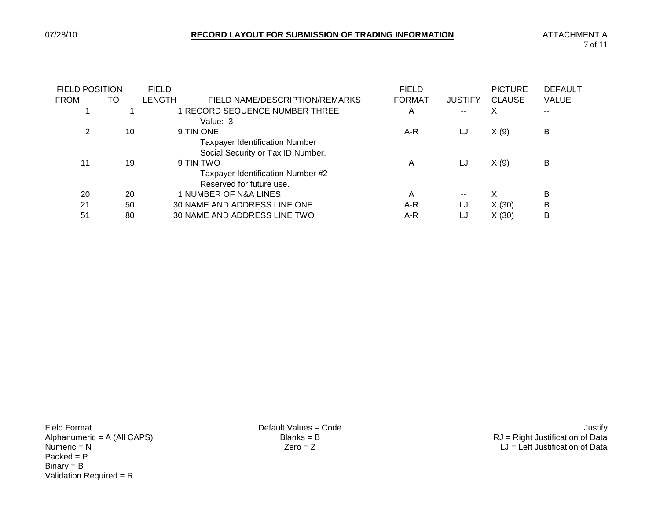| <b>FIELD POSITION</b> |    | <b>FIELD</b> |                                                                            | <b>FIELD</b>  |                          | <b>PICTURE</b> | <b>DEFAULT</b> |
|-----------------------|----|--------------|----------------------------------------------------------------------------|---------------|--------------------------|----------------|----------------|
| <b>FROM</b>           | TO | LENGTH       | FIELD NAME/DESCRIPTION/REMARKS                                             | <b>FORMAT</b> | <b>JUSTIFY</b>           | <b>CLAUSE</b>  | <b>VALUE</b>   |
|                       |    |              | RECORD SEQUENCE NUMBER THREE<br>Value: 3                                   | Α             | $-$                      | X              | $- -$          |
| 2                     | 10 |              | 9 TIN ONE                                                                  | A-R           | LJ                       | X(9)           | в              |
|                       |    |              | <b>Taxpayer Identification Number</b><br>Social Security or Tax ID Number. |               |                          |                |                |
| 11                    | 19 |              | 9 TIN TWO                                                                  | Α             | LJ                       | X(9)           | B              |
|                       |    |              | Taxpayer Identification Number #2<br>Reserved for future use.              |               |                          |                |                |
| 20                    | 20 |              | 1 NUMBER OF N&A LINES                                                      | A             | $\overline{\phantom{a}}$ | X              | B              |
| 21                    | 50 |              | 30 NAME AND ADDRESS LINE ONE                                               | A-R           | LJ                       | X(30)          | B              |
| 51                    | 80 |              | 30 NAME AND ADDRESS LINE TWO                                               | A-R           | LJ                       | X(30)          | B              |

 $Packet = P$ Binary = B Validation Required = R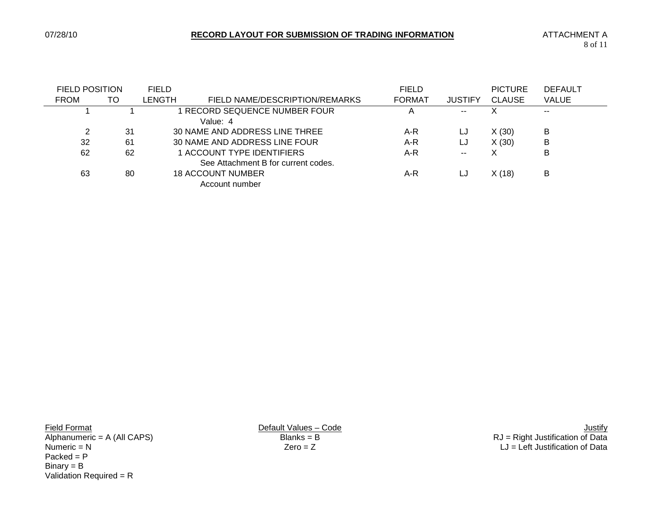| <b>FIELD POSITION</b> |    | <b>FIELD</b> |                                     | <b>FIELD</b>   |                | <b>PICTURE</b> | <b>DEFAULT</b> |
|-----------------------|----|--------------|-------------------------------------|----------------|----------------|----------------|----------------|
| <b>FROM</b>           | TO | LENGTH       | FIELD NAME/DESCRIPTION/REMARKS      | <b>FORMAT</b>  | <b>JUSTIFY</b> | <b>CLAUSE</b>  | <b>VALUE</b>   |
|                       |    |              | RECORD SEQUENCE NUMBER FOUR         | $\overline{A}$ | $- -$          | Χ              | $- -$          |
|                       |    |              | Value: 4                            |                |                |                |                |
|                       | 31 |              | 30 NAME AND ADDRESS LINE THREE      | A-R            | LJ             | X(30)          | B              |
| 32                    | 61 |              | 30 NAME AND ADDRESS LINE FOUR       | A-R            | LJ             | X(30)          | B              |
| 62                    | 62 |              | 1 ACCOUNT TYPE IDENTIFIERS          | A-R            | $- -$          | Χ              | B              |
|                       |    |              | See Attachment B for current codes. |                |                |                |                |
| 63                    | 80 |              | <b>18 ACCOUNT NUMBER</b>            | A-R            | LJ             | X(18)          | B              |
|                       |    |              | Account number                      |                |                |                |                |

 $Packet = P$ Binary = B Validation Required = R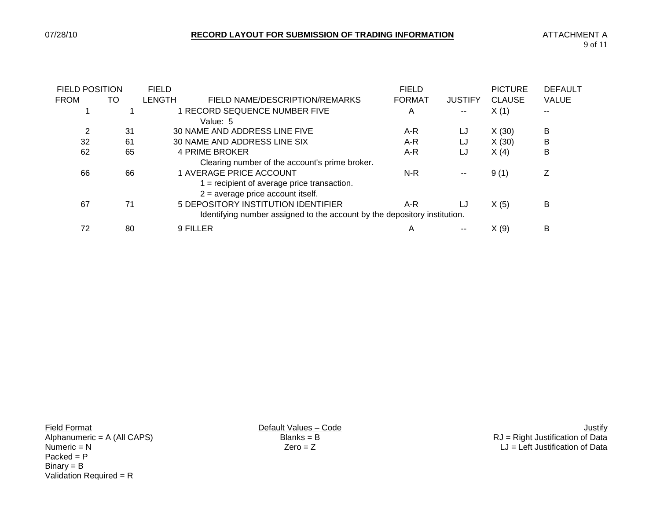| <b>FIELD POSITION</b> |                                                                           | <b>FIELD</b> |                                                | <b>FIELD</b>  |                | <b>PICTURE</b> | <b>DEFAULT</b> |
|-----------------------|---------------------------------------------------------------------------|--------------|------------------------------------------------|---------------|----------------|----------------|----------------|
| <b>FROM</b>           | TO                                                                        | LENGTH       | FIELD NAME/DESCRIPTION/REMARKS                 | <b>FORMAT</b> | <b>JUSTIFY</b> | <b>CLAUSE</b>  | <b>VALUE</b>   |
|                       |                                                                           |              | RECORD SEQUENCE NUMBER FIVE                    | A             | --             | X(1)           | $- -$          |
|                       |                                                                           |              | Value: 5                                       |               |                |                |                |
| 2                     | 31                                                                        |              | 30 NAME AND ADDRESS LINE FIVE                  | A-R           | LJ             | X(30)          | B              |
| 32                    | 61                                                                        |              | 30 NAME AND ADDRESS LINE SIX                   | A-R           | LJ             | X(30)          | B              |
| 62                    | 65                                                                        |              | 4 PRIME BROKER                                 | A-R           | LJ             | X(4)           | B              |
|                       |                                                                           |              | Clearing number of the account's prime broker. |               |                |                |                |
| 66                    | 66                                                                        |              | <b>1 AVERAGE PRICE ACCOUNT</b>                 | $N-R$         | $\sim$         | 9(1)           | Ζ              |
|                       |                                                                           |              | $=$ recipient of average price transaction.    |               |                |                |                |
|                       |                                                                           |              | $2$ = average price account itself.            |               |                |                |                |
| 67                    | 71                                                                        |              | 5 DEPOSITORY INSTITUTION IDENTIFIER            | A-R           | LJ             | X(5)           | B              |
|                       | Identifying number assigned to the account by the depository institution. |              |                                                |               |                |                |                |
| 72                    | 80                                                                        |              | 9 FILLER                                       | A             | $- -$          | X(9)           | в              |

 $Packet = P$ Binary = B Validation Required = R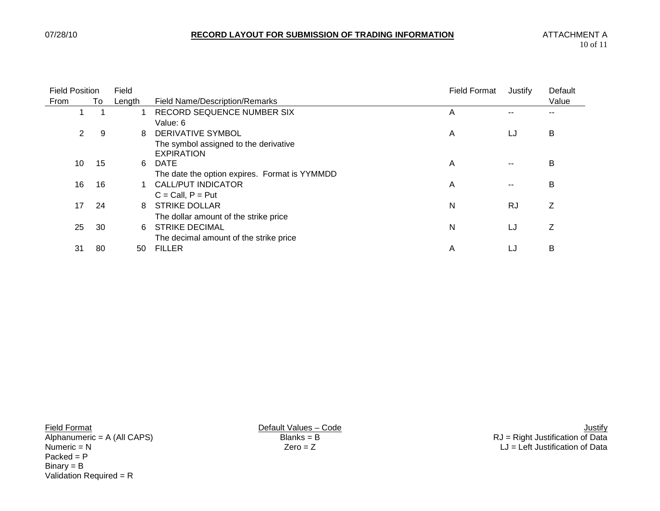| <b>Field Position</b> |    | Field  | <b>Field Format</b>                                        |   | Justify   | Default |
|-----------------------|----|--------|------------------------------------------------------------|---|-----------|---------|
| From                  | To | Length | <b>Field Name/Description/Remarks</b>                      |   |           | Value   |
|                       |    |        | RECORD SEQUENCE NUMBER SIX                                 | A |           |         |
|                       |    |        | Value: 6                                                   |   |           |         |
| $\overline{2}$        | -9 | 8      | <b>DERIVATIVE SYMBOL</b>                                   | A | LJ        | B       |
|                       |    |        | The symbol assigned to the derivative<br><b>EXPIRATION</b> |   |           |         |
| 10                    | 15 | 6      | DATE                                                       | A |           | B       |
|                       |    |        | The date the option expires. Format is YYMMDD              |   |           |         |
| 16                    | 16 |        | <b>CALL/PUT INDICATOR</b>                                  | Α | $- -$     | B       |
|                       |    |        | $C = Call, P = Put$                                        |   |           |         |
| 17                    | 24 | 8      | <b>STRIKE DOLLAR</b>                                       | Ν | <b>RJ</b> | Ζ       |
|                       |    |        | The dollar amount of the strike price                      |   |           |         |
| 25                    | 30 | 6      | <b>STRIKE DECIMAL</b>                                      | Ν | LJ        | Z       |
|                       |    |        | The decimal amount of the strike price                     |   |           |         |
| 31                    | 80 | 50     | <b>FILLER</b>                                              | Α | LJ        | B       |

 $Packet = P$ Binary = B Validation Required = R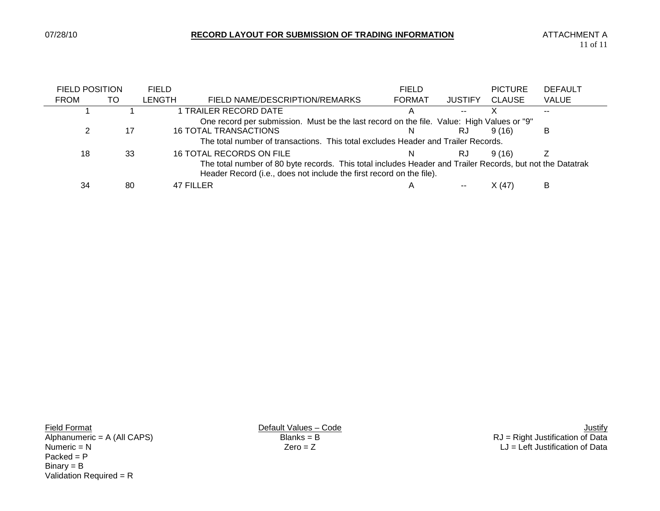$\overline{\phantom{0}}$ 

|                                                                                                                                                                                   | <b>FIELD POSITION</b> |    | <b>FIELD</b>  |                                                                                           | <b>FIELD</b>  |                | <b>PICTURE</b> | <b>DEFAULT</b> |  |
|-----------------------------------------------------------------------------------------------------------------------------------------------------------------------------------|-----------------------|----|---------------|-------------------------------------------------------------------------------------------|---------------|----------------|----------------|----------------|--|
|                                                                                                                                                                                   | <b>FROM</b>           | TO | <b>LENGTH</b> | FIELD NAME/DESCRIPTION/REMARKS                                                            | <b>FORMAT</b> | <b>JUSTIFY</b> | <b>CLAUSE</b>  | <b>VALUE</b>   |  |
|                                                                                                                                                                                   |                       |    |               | 1 TRAILER RECORD DATE                                                                     |               | --             |                |                |  |
|                                                                                                                                                                                   |                       |    |               | One record per submission. Must be the last record on the file. Value: High Values or "9" |               |                |                |                |  |
|                                                                                                                                                                                   |                       | 17 |               | <b>16 TOTAL TRANSACTIONS</b>                                                              | <sup>N</sup>  | RJ             | 9(16)          | B              |  |
|                                                                                                                                                                                   |                       |    |               | The total number of transactions. This total excludes Header and Trailer Records.         |               |                |                |                |  |
|                                                                                                                                                                                   | 18                    | 33 |               | 16 TOTAL RECORDS ON FILE                                                                  | N.            | RJ             | 9(16)          |                |  |
| The total number of 80 byte records. This total includes Header and Trailer Records, but not the Datatrak<br>Header Record (i.e., does not include the first record on the file). |                       |    |               |                                                                                           |               |                |                |                |  |
|                                                                                                                                                                                   | 34                    | 80 |               | 47 FILLER                                                                                 | A             |                | X(47)          | B              |  |

 $Packet = P$ Binary = B Validation Required = R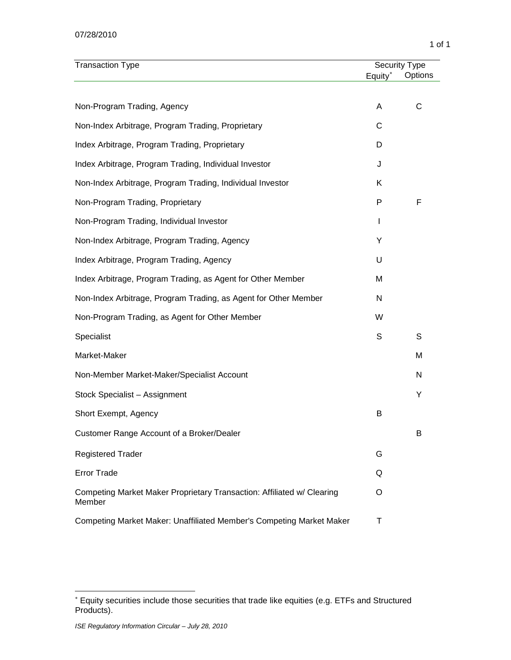#### 07/28/2010

| <b>Transaction Type</b>                                                          | <b>Security Type</b> |         |  |
|----------------------------------------------------------------------------------|----------------------|---------|--|
|                                                                                  | Equity*              | Options |  |
| Non-Program Trading, Agency                                                      | A                    | С       |  |
| Non-Index Arbitrage, Program Trading, Proprietary                                | С                    |         |  |
| Index Arbitrage, Program Trading, Proprietary                                    | D                    |         |  |
| Index Arbitrage, Program Trading, Individual Investor                            | J                    |         |  |
| Non-Index Arbitrage, Program Trading, Individual Investor                        | Κ                    |         |  |
| Non-Program Trading, Proprietary                                                 | P                    | F       |  |
| Non-Program Trading, Individual Investor                                         | I                    |         |  |
| Non-Index Arbitrage, Program Trading, Agency                                     | Υ                    |         |  |
| Index Arbitrage, Program Trading, Agency                                         | U                    |         |  |
| Index Arbitrage, Program Trading, as Agent for Other Member                      | M                    |         |  |
| Non-Index Arbitrage, Program Trading, as Agent for Other Member                  | N                    |         |  |
| Non-Program Trading, as Agent for Other Member                                   | W                    |         |  |
| Specialist                                                                       | S                    | S       |  |
| Market-Maker                                                                     |                      | M       |  |
| Non-Member Market-Maker/Specialist Account                                       |                      | N       |  |
| Stock Specialist - Assignment                                                    |                      | Υ       |  |
| Short Exempt, Agency                                                             | B                    |         |  |
| Customer Range Account of a Broker/Dealer                                        |                      | B       |  |
| <b>Registered Trader</b>                                                         | G                    |         |  |
| <b>Error Trade</b>                                                               | Q                    |         |  |
| Competing Market Maker Proprietary Transaction: Affiliated w/ Clearing<br>Member | O                    |         |  |
| Competing Market Maker: Unaffiliated Member's Competing Market Maker             | Τ                    |         |  |

 $\overline{a}$ 

<span id="page-12-0"></span><sup>∗</sup> Equity securities include those securities that trade like equities (e.g. ETFs and Structured Products).